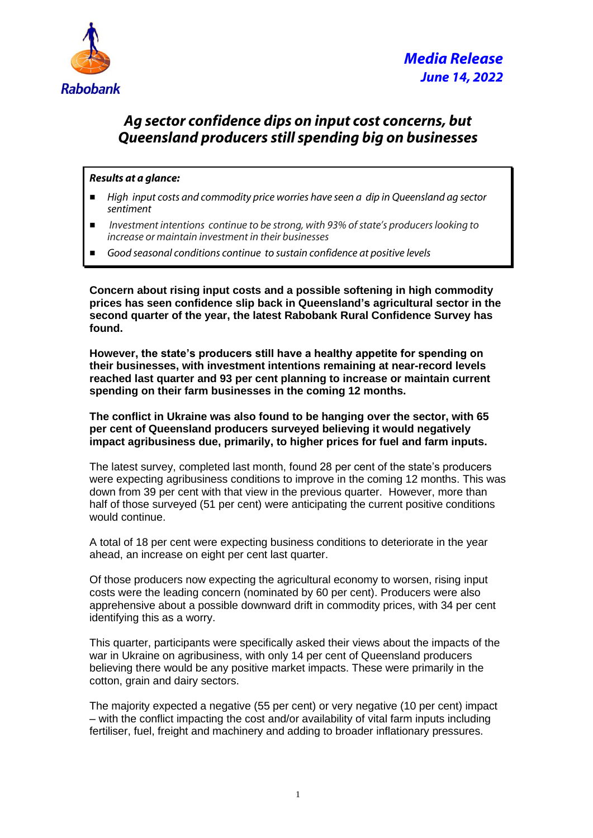

## *Ag sector confidence dips on input cost concerns, but Queensland producers still spending big on businesses*

## *Results at a glance:*

- *High input costs and commodity price worries have seen a dip in Queensland ag sector sentiment*
- *Investment intentions continue to be strong, with 93% of state's producers looking to increase or maintain investment in their businesses*
- *Good seasonal conditions continue to sustain confidence at positive levels*

**Concern about rising input costs and a possible softening in high commodity prices has seen confidence slip back in Queensland's agricultural sector in the second quarter of the year, the latest Rabobank Rural Confidence Survey has found.**

**However, the state's producers still have a healthy appetite for spending on their businesses, with investment intentions remaining at near-record levels reached last quarter and 93 per cent planning to increase or maintain current spending on their farm businesses in the coming 12 months.**

**The conflict in Ukraine was also found to be hanging over the sector, with 65 per cent of Queensland producers surveyed believing it would negatively impact agribusiness due, primarily, to higher prices for fuel and farm inputs.** 

The latest survey, completed last month, found 28 per cent of the state's producers were expecting agribusiness conditions to improve in the coming 12 months. This was down from 39 per cent with that view in the previous quarter. However, more than half of those surveyed (51 per cent) were anticipating the current positive conditions would continue.

A total of 18 per cent were expecting business conditions to deteriorate in the year ahead, an increase on eight per cent last quarter.

Of those producers now expecting the agricultural economy to worsen, rising input costs were the leading concern (nominated by 60 per cent). Producers were also apprehensive about a possible downward drift in commodity prices, with 34 per cent identifying this as a worry.

This quarter, participants were specifically asked their views about the impacts of the war in Ukraine on agribusiness, with only 14 per cent of Queensland producers believing there would be any positive market impacts. These were primarily in the cotton, grain and dairy sectors.

The majority expected a negative (55 per cent) or very negative (10 per cent) impact – with the conflict impacting the cost and/or availability of vital farm inputs including fertiliser, fuel, freight and machinery and adding to broader inflationary pressures.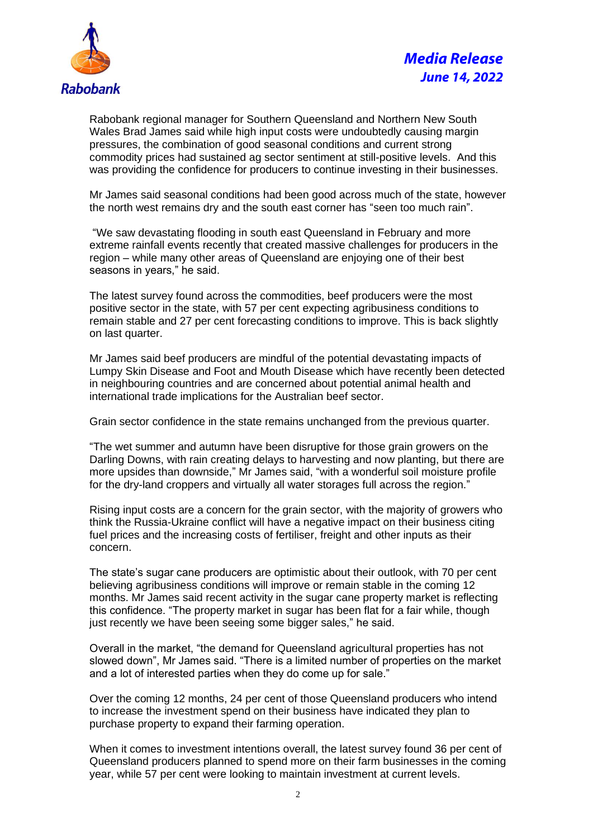



Rabobank regional manager for Southern Queensland and Northern New South Wales Brad James said while high input costs were undoubtedly causing margin pressures, the combination of good seasonal conditions and current strong commodity prices had sustained ag sector sentiment at still-positive levels. And this was providing the confidence for producers to continue investing in their businesses.

Mr James said seasonal conditions had been good across much of the state, however the north west remains dry and the south east corner has "seen too much rain".

"We saw devastating flooding in south east Queensland in February and more extreme rainfall events recently that created massive challenges for producers in the region – while many other areas of Queensland are enjoying one of their best seasons in years," he said.

The latest survey found across the commodities, beef producers were the most positive sector in the state, with 57 per cent expecting agribusiness conditions to remain stable and 27 per cent forecasting conditions to improve. This is back slightly on last quarter.

Mr James said beef producers are mindful of the potential devastating impacts of Lumpy Skin Disease and Foot and Mouth Disease which have recently been detected in neighbouring countries and are concerned about potential animal health and international trade implications for the Australian beef sector.

Grain sector confidence in the state remains unchanged from the previous quarter.

"The wet summer and autumn have been disruptive for those grain growers on the Darling Downs, with rain creating delays to harvesting and now planting, but there are more upsides than downside," Mr James said, "with a wonderful soil moisture profile for the dry-land croppers and virtually all water storages full across the region."

Rising input costs are a concern for the grain sector, with the majority of growers who think the Russia-Ukraine conflict will have a negative impact on their business citing fuel prices and the increasing costs of fertiliser, freight and other inputs as their concern.

The state's sugar cane producers are optimistic about their outlook, with 70 per cent believing agribusiness conditions will improve or remain stable in the coming 12 months. Mr James said recent activity in the sugar cane property market is reflecting this confidence. "The property market in sugar has been flat for a fair while, though just recently we have been seeing some bigger sales," he said.

Overall in the market, "the demand for Queensland agricultural properties has not slowed down", Mr James said. "There is a limited number of properties on the market and a lot of interested parties when they do come up for sale."

Over the coming 12 months, 24 per cent of those Queensland producers who intend to increase the investment spend on their business have indicated they plan to purchase property to expand their farming operation.

When it comes to investment intentions overall, the latest survey found 36 per cent of Queensland producers planned to spend more on their farm businesses in the coming year, while 57 per cent were looking to maintain investment at current levels.